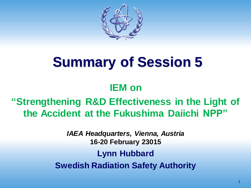

# **Summary of Session 5**

#### **IEM on**

**"Strengthening R&D Effectiveness in the Light of the Accident at the Fukushima Daiichi NPP"**

> *IAEA Headquarters, Vienna, Austria* **16-20 February 23015 Lynn Hubbard Swedish Radiation Safety Authority**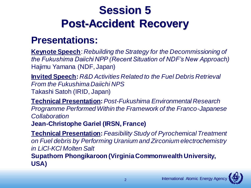### **Session 5 Post-Accident Recovery**

#### **Presentations:**

**Keynote Speech**: *Rebuilding the Strategy for the Decommissioning of the Fukushima Daiichi NPP (Recent Situation of NDF's New Approach)*  Hajimu Yamana (NDF, Japan)

**Invited Speech:** *R&D Activities Related to the Fuel Debris Retrieval From the Fukushima Daiichi NPS*  Takashi Satoh (IRID, Japan)

**Technical Presentation:** *Post-Fukushima Environmental Research Programme Performed Within the Framework of the Franco-Japanese Collaboration*

**Jean-Christophe Gariel (IRSN, France)**

**Technical Presentation:** *Feasibility Study of Pyrochemical Treatment on Fuel debris by Performing Uranium and Zirconium electrochemistry in LiCl-KCl Molten Salt* **Supathorn Phongikaroon (Virginia Commonwealth University, USA)**

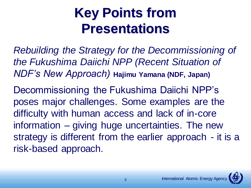*Rebuilding the Strategy for the Decommissioning of the Fukushima Daiichi NPP (Recent Situation of NDF's New Approach)* **Hajimu Yamana (NDF, Japan)**

Decommissioning the Fukushima Daiichi NPP's poses major challenges. Some examples are the difficulty with human access and lack of in-core information – giving huge uncertainties. The new strategy is different from the earlier approach - it is a risk-based approach.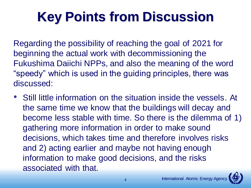# **Key Points from Discussion**

Regarding the possibility of reaching the goal of 2021 for beginning the actual work with decommissioning the Fukushima Daiichi NPPs, and also the meaning of the word "speedy" which is used in the guiding principles, there was discussed:

• Still little information on the situation inside the vessels. At the same time we know that the buildings will decay and become less stable with time. So there is the dilemma of 1) gathering more information in order to make sound decisions, which takes time and therefore involves risks and 2) acting earlier and maybe not having enough information to make good decisions, and the risks associated with that.

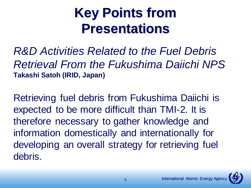*R&D Activities Related to the Fuel Debris Retrieval From the Fukushima Daiichi NPS* **Takashi Satoh (IRID, Japan)**

Retrieving fuel debris from Fukushima Daiichi is expected to be more difficult than TMI-2. It is therefore necessary to gather knowledge and information domestically and internationally for developing an overall strategy for retrieving fuel debris.

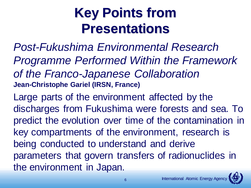*Post-Fukushima Environmental Research Programme Performed Within the Framework of the Franco-Japanese Collaboration* **Jean-Christophe Gariel (IRSN, France)**

Large parts of the environment affected by the discharges from Fukushima were forests and sea. To predict the evolution over time of the contamination in key compartments of the environment, research is being conducted to understand and derive parameters that govern transfers of radionuclides in the environment in Japan.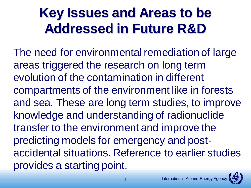### **Key Issues and Areas to be Addressed in Future R&D**

The need for environmental remediation of large areas triggered the research on long term evolution of the contamination in different compartments of the environment like in forests and sea. These are long term studies, to improve knowledge and understanding of radionuclide transfer to the environment and improve the predicting models for emergency and postaccidental situations. Reference to earlier studies provides a starting point.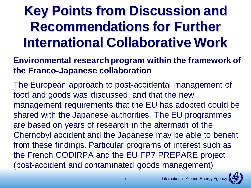## **Key Points from Discussion and Recommendations for Further International Collaborative Work**

#### **Environmental research program within the framework of the Franco-Japanese collaboration**

The European approach to post-accidental management of food and goods was discussed, and that the new management requirements that the EU has adopted could be shared with the Japanese authorities. The EU programmes are based on years of research in the aftermath of the Chernobyl accident and the Japanese may be able to benefit from these findings. Particular programs of interest such as the French CODIRPA and the EU FP7 PREPARE project (post-accident and contaminated goods management)

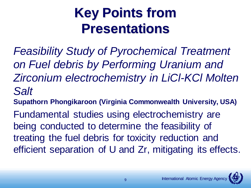*Feasibility Study of Pyrochemical Treatment on Fuel debris by Performing Uranium and Zirconium electrochemistry in LiCl-KCl Molten Salt*

**Supathorn Phongikaroon (Virginia Commonwealth University, USA)**

Fundamental studies using electrochemistry are being conducted to determine the feasibility of treating the fuel debris for toxicity reduction and efficient separation of U and Zr, mitigating its effects.

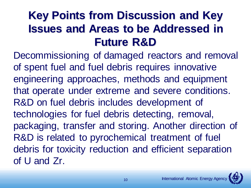### **Key Points from Discussion and Key Issues and Areas to be Addressed in Future R&D**

Decommissioning of damaged reactors and removal of spent fuel and fuel debris requires innovative engineering approaches, methods and equipment that operate under extreme and severe conditions. R&D on fuel debris includes development of technologies for fuel debris detecting, removal, packaging, transfer and storing. Another direction of R&D is related to pyrochemical treatment of fuel debris for toxicity reduction and efficient separation of U and Zr.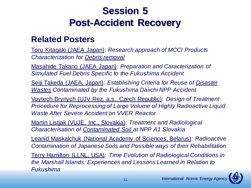### **Session 5 Post-Accident Recovery**

#### **Related Posters**

Toru Kitagaki (JAEA Japan): *Research approach of MCCI Products Characterization for Debris removal*

Masahide Takano (JAEA Japan): *Preparation and Caracterization of Simulated Fuel Debris Specific to the Fukushima Accident*

Seiji Takeda (JAEA, Japan): *Establishing Criteria for Reuse of Disaster Wastes Contaminated by the Fukushima Daiichi NPP Accident*

Voytech Brynych (UJV Rez, a.s., Czech Republic): *Design of Treatment Procedure for Reprocessing of Large Volume of Highly Radioactive Liquid Waste After Severe Accident on VVER Reactor*

Martin Listjak (VUJE, Inc., Slovakia): *Treatment and Radiological Characterisation of Contaminated Soil at NPP A1 Slovakia*

Leanid Maskalchuk (National Academy of Sciences, Belarus): *Radioactive Contamination of Japanese Soils and Possible ways of their Rehabilitation*

Terry Hamilton (LLNL, USA): *Time Evolution of Radiological Conditions in the Marshall Islands: Experiences and Lessons Learned in Relation to Fukushima*

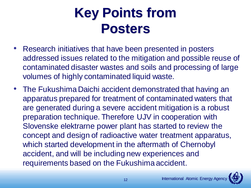### **Key Points from Posters**

- Research initiatives that have been presented in posters addressed issues related to the mitigation and possible reuse of contaminated disaster wastes and soils and processing of large volumes of highly contaminated liquid waste.
- The Fukushima Daichi accident demonstrated that having an apparatus prepared for treatment of contaminated waters that are generated during a severe accident mitigation is a robust preparation technique. Therefore UJV in cooperation with Slovenske elektrarne power plant has started to review the concept and design of radioactive water treatment apparatus, which started development in the aftermath of Chernobyl accident, and will be including new experiences and requirements based on the Fukushima accident.

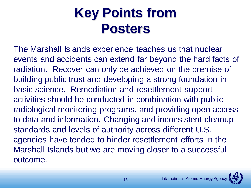### **Key Points from Posters**

The Marshall Islands experience teaches us that nuclear events and accidents can extend far beyond the hard facts of radiation. Recover can only be achieved on the premise of building public trust and developing a strong foundation in basic science. Remediation and resettlement support activities should be conducted in combination with public radiological monitoring programs, and providing open access to data and information. Changing and inconsistent cleanup standards and levels of authority across different U.S. agencies have tended to hinder resettlement efforts in the Marshall Islands but we are moving closer to a successful outcome.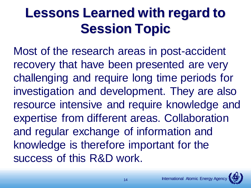## **Lessons Learned with regard to Session Topic**

Most of the research areas in post-accident recovery that have been presented are very challenging and require long time periods for investigation and development. They are also resource intensive and require knowledge and expertise from different areas. Collaboration and regular exchange of information and knowledge is therefore important for the success of this R&D work.